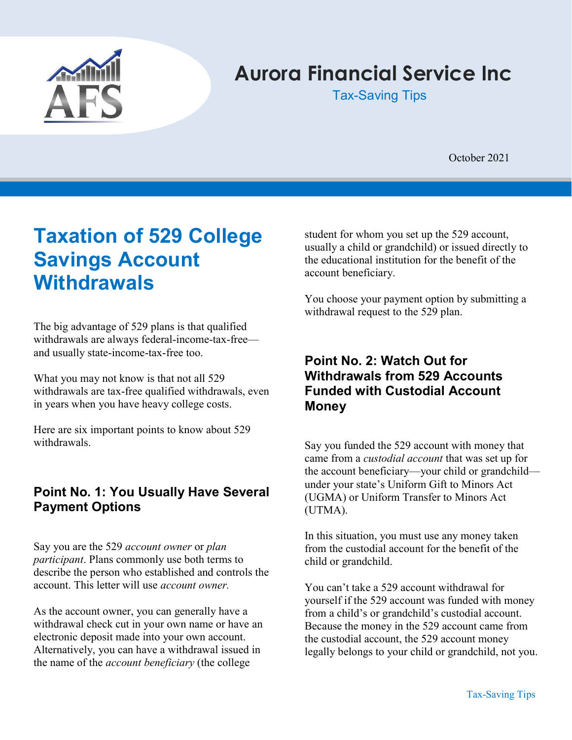

# Aurora Financial Service Inc

Tax-Saving Tips

October 2021

# Taxation of 529 College Savings Account **Withdrawals**

The big advantage of 529 plans is that qualified withdrawals are always federal-income-tax-free and usually state-income-tax-free too.

What you may not know is that not all 529 withdrawals are tax-free qualified withdrawals, even in years when you have heavy college costs.

Here are six important points to know about 529 withdrawals.

### Point No. 1: You Usually Have Several Payment Options

Say you are the 529 account owner or plan participant. Plans commonly use both terms to describe the person who established and controls the account. This letter will use account owner.

As the account owner, you can generally have a withdrawal check cut in your own name or have an electronic deposit made into your own account. Alternatively, you can have a withdrawal issued in the name of the *account beneficiary* (the college

student for whom you set up the 529 account, usually a child or grandchild) or issued directly to the educational institution for the benefit of the account beneficiary.

You choose your payment option by submitting a withdrawal request to the 529 plan.

### Point No. 2: Watch Out for Withdrawals from 529 Accounts Funded with Custodial Account **Money**

Say you funded the 529 account with money that came from a custodial account that was set up for the account beneficiary—your child or grandchild under your state's Uniform Gift to Minors Act (UGMA) or Uniform Transfer to Minors Act (UTMA).

In this situation, you must use any money taken from the custodial account for the benefit of the child or grandchild.

You can't take a 529 account withdrawal for yourself if the 529 account was funded with money from a child's or grandchild's custodial account. Because the money in the 529 account came from the custodial account, the 529 account money legally belongs to your child or grandchild, not you.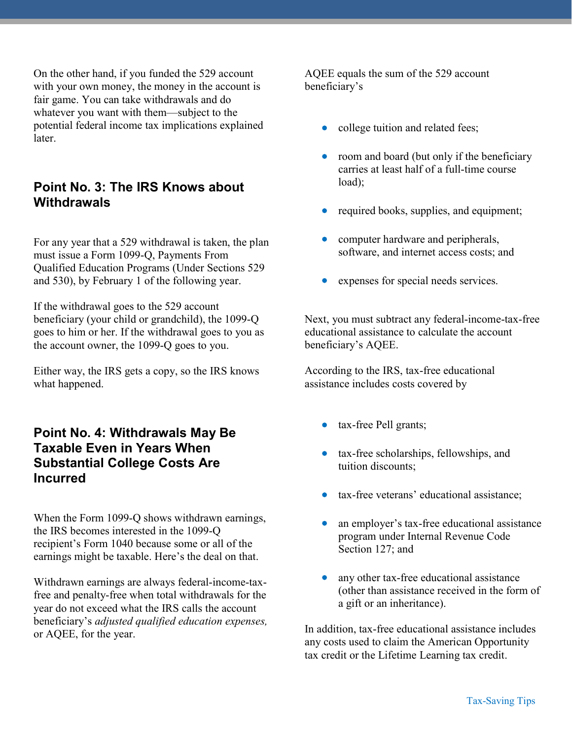On the other hand, if you funded the 529 account with your own money, the money in the account is fair game. You can take withdrawals and do whatever you want with them—subject to the potential federal income tax implications explained later.

#### Point No. 3: The IRS Knows about **Withdrawals**

For any year that a 529 withdrawal is taken, the plan must issue a Form 1099-Q, Payments From Qualified Education Programs (Under Sections 529 and 530), by February 1 of the following year.

If the withdrawal goes to the 529 account beneficiary (your child or grandchild), the 1099-Q goes to him or her. If the withdrawal goes to you as the account owner, the 1099-Q goes to you.

Either way, the IRS gets a copy, so the IRS knows what happened.

### Point No. 4: Withdrawals May Be Taxable Even in Years When Substantial College Costs Are Incurred

When the Form 1099-Q shows withdrawn earnings, the IRS becomes interested in the 1099-Q recipient's Form 1040 because some or all of the earnings might be taxable. Here's the deal on that.

Withdrawn earnings are always federal-income-taxfree and penalty-free when total withdrawals for the year do not exceed what the IRS calls the account beneficiary's adjusted qualified education expenses, or AQEE, for the year.

AQEE equals the sum of the 529 account beneficiary's

- college tuition and related fees;
- room and board (but only if the beneficiary carries at least half of a full-time course load);
- required books, supplies, and equipment;
- computer hardware and peripherals, software, and internet access costs; and
- expenses for special needs services.

Next, you must subtract any federal-income-tax-free educational assistance to calculate the account beneficiary's AQEE.

According to the IRS, tax-free educational assistance includes costs covered by

- tax-free Pell grants;
- tax-free scholarships, fellowships, and tuition discounts;
- tax-free veterans' educational assistance;
- an employer's tax-free educational assistance program under Internal Revenue Code Section 127; and
- any other tax-free educational assistance (other than assistance received in the form of a gift or an inheritance).

In addition, tax-free educational assistance includes any costs used to claim the American Opportunity tax credit or the Lifetime Learning tax credit.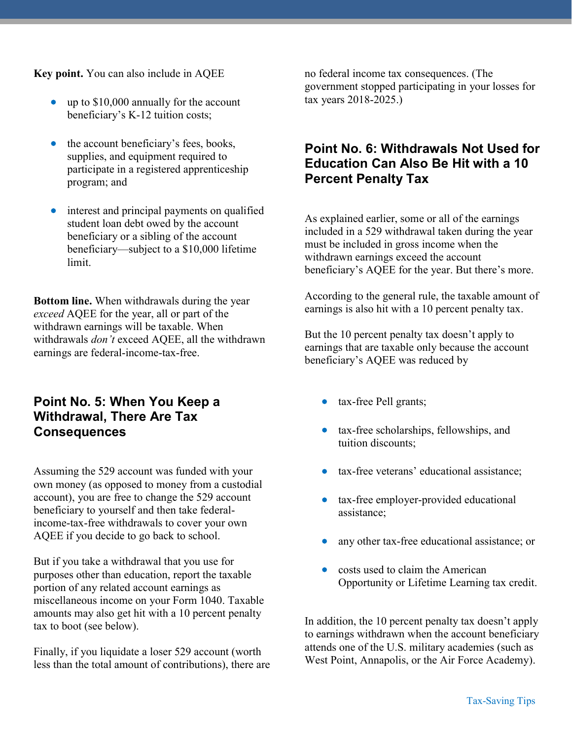Key point. You can also include in AQEE

- up to \$10,000 annually for the account beneficiary's K-12 tuition costs;
- the account beneficiary's fees, books, supplies, and equipment required to participate in a registered apprenticeship program; and
- interest and principal payments on qualified student loan debt owed by the account beneficiary or a sibling of the account beneficiary—subject to a \$10,000 lifetime limit.

Bottom line. When withdrawals during the year exceed AQEE for the year, all or part of the withdrawn earnings will be taxable. When withdrawals *don't* exceed AQEE, all the withdrawn earnings are federal-income-tax-free.

#### Point No. 5: When You Keep a Withdrawal, There Are Tax **Consequences**

Assuming the 529 account was funded with your own money (as opposed to money from a custodial account), you are free to change the 529 account beneficiary to yourself and then take federalincome-tax-free withdrawals to cover your own AQEE if you decide to go back to school.

But if you take a withdrawal that you use for purposes other than education, report the taxable portion of any related account earnings as miscellaneous income on your Form 1040. Taxable amounts may also get hit with a 10 percent penalty tax to boot (see below).

Finally, if you liquidate a loser 529 account (worth less than the total amount of contributions), there are no federal income tax consequences. (The government stopped participating in your losses for tax years 2018-2025.)

### Point No. 6: Withdrawals Not Used for Education Can Also Be Hit with a 10 Percent Penalty Tax

As explained earlier, some or all of the earnings included in a 529 withdrawal taken during the year must be included in gross income when the withdrawn earnings exceed the account beneficiary's AQEE for the year. But there's more.

According to the general rule, the taxable amount of earnings is also hit with a 10 percent penalty tax.

But the 10 percent penalty tax doesn't apply to earnings that are taxable only because the account beneficiary's AQEE was reduced by

- tax-free Pell grants;
- tax-free scholarships, fellowships, and tuition discounts;
- tax-free veterans' educational assistance;
- tax-free employer-provided educational assistance;
- any other tax-free educational assistance; or
- costs used to claim the American Opportunity or Lifetime Learning tax credit.

In addition, the 10 percent penalty tax doesn't apply to earnings withdrawn when the account beneficiary attends one of the U.S. military academies (such as West Point, Annapolis, or the Air Force Academy).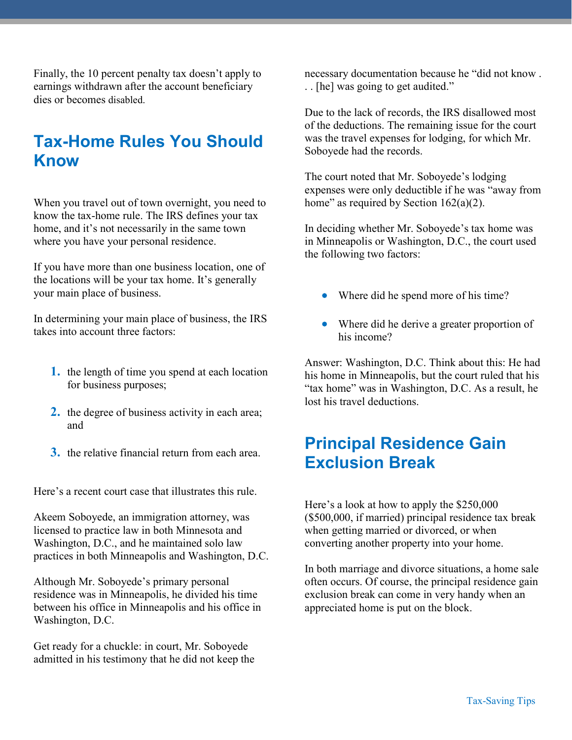Finally, the 10 percent penalty tax doesn't apply to earnings withdrawn after the account beneficiary dies or becomes disabled.

## Tax-Home Rules You Should Know

When you travel out of town overnight, you need to know the tax-home rule. The IRS defines your tax home, and it's not necessarily in the same town where you have your personal residence.

If you have more than one business location, one of the locations will be your tax home. It's generally your main place of business.

In determining your main place of business, the IRS takes into account three factors:

- 1. the length of time you spend at each location for business purposes;
- 2. the degree of business activity in each area; and
- 3. the relative financial return from each area.

Here's a recent court case that illustrates this rule.

Akeem Soboyede, an immigration attorney, was licensed to practice law in both Minnesota and Washington, D.C., and he maintained solo law practices in both Minneapolis and Washington, D.C.

Although Mr. Soboyede's primary personal residence was in Minneapolis, he divided his time between his office in Minneapolis and his office in Washington, D.C.

Get ready for a chuckle: in court, Mr. Soboyede admitted in his testimony that he did not keep the necessary documentation because he "did not know . . . [he] was going to get audited."

Due to the lack of records, the IRS disallowed most of the deductions. The remaining issue for the court was the travel expenses for lodging, for which Mr. Soboyede had the records.

The court noted that Mr. Soboyede's lodging expenses were only deductible if he was "away from home" as required by Section  $162(a)(2)$ .

In deciding whether Mr. Soboyede's tax home was in Minneapolis or Washington, D.C., the court used the following two factors:

- Where did he spend more of his time?
- Where did he derive a greater proportion of his income?

Answer: Washington, D.C. Think about this: He had his home in Minneapolis, but the court ruled that his "tax home" was in Washington, D.C. As a result, he lost his travel deductions.

## Principal Residence Gain Exclusion Break

Here's a look at how to apply the \$250,000 (\$500,000, if married) principal residence tax break when getting married or divorced, or when converting another property into your home.

In both marriage and divorce situations, a home sale often occurs. Of course, the principal residence gain exclusion break can come in very handy when an appreciated home is put on the block.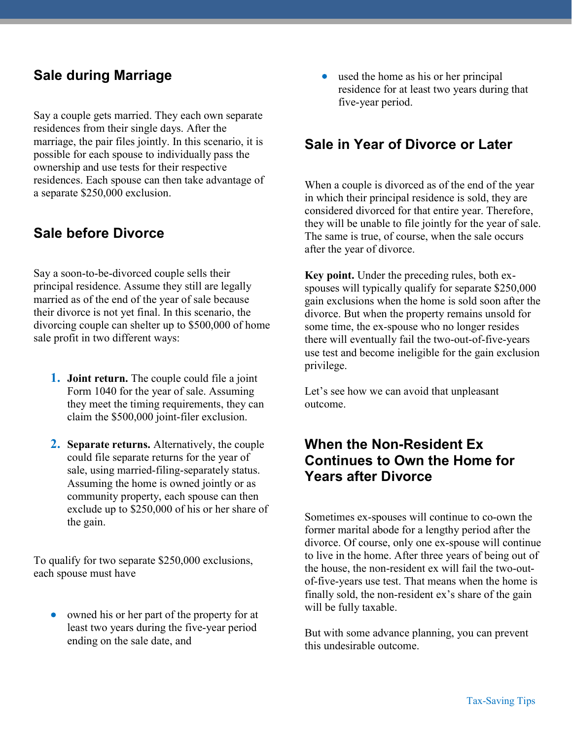### Sale during Marriage

Say a couple gets married. They each own separate residences from their single days. After the marriage, the pair files jointly. In this scenario, it is possible for each spouse to individually pass the ownership and use tests for their respective residences. Each spouse can then take advantage of a separate \$250,000 exclusion.

### Sale before Divorce

Say a soon-to-be-divorced couple sells their principal residence. Assume they still are legally married as of the end of the year of sale because their divorce is not yet final. In this scenario, the divorcing couple can shelter up to \$500,000 of home sale profit in two different ways:

- **1.** Joint return. The couple could file a joint Form 1040 for the year of sale. Assuming they meet the timing requirements, they can claim the \$500,000 joint-filer exclusion.
- 2. Separate returns. Alternatively, the couple could file separate returns for the year of sale, using married-filing-separately status. Assuming the home is owned jointly or as community property, each spouse can then exclude up to \$250,000 of his or her share of the gain.

To qualify for two separate \$250,000 exclusions, each spouse must have

 owned his or her part of the property for at least two years during the five-year period ending on the sale date, and

 used the home as his or her principal residence for at least two years during that five-year period.

### Sale in Year of Divorce or Later

When a couple is divorced as of the end of the year in which their principal residence is sold, they are considered divorced for that entire year. Therefore, they will be unable to file jointly for the year of sale. The same is true, of course, when the sale occurs after the year of divorce.

Key point. Under the preceding rules, both exspouses will typically qualify for separate \$250,000 gain exclusions when the home is sold soon after the divorce. But when the property remains unsold for some time, the ex-spouse who no longer resides there will eventually fail the two-out-of-five-years use test and become ineligible for the gain exclusion privilege.

Let's see how we can avoid that unpleasant outcome.

### When the Non-Resident Ex Continues to Own the Home for Years after Divorce

Sometimes ex-spouses will continue to co-own the former marital abode for a lengthy period after the divorce. Of course, only one ex-spouse will continue to live in the home. After three years of being out of the house, the non-resident ex will fail the two-outof-five-years use test. That means when the home is finally sold, the non-resident ex's share of the gain will be fully taxable.

But with some advance planning, you can prevent this undesirable outcome.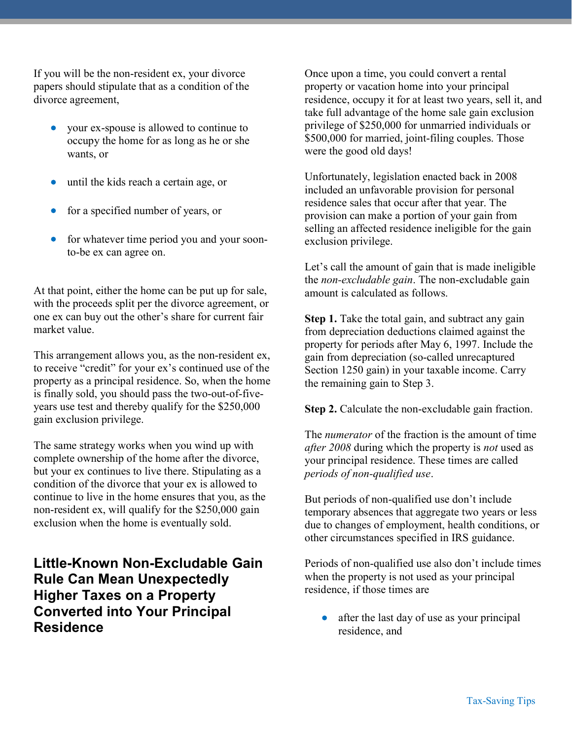If you will be the non-resident ex, your divorce papers should stipulate that as a condition of the divorce agreement,

- your ex-spouse is allowed to continue to occupy the home for as long as he or she wants, or
- until the kids reach a certain age, or
- for a specified number of years, or
- for whatever time period you and your soonto-be ex can agree on.

At that point, either the home can be put up for sale, with the proceeds split per the divorce agreement, or one ex can buy out the other's share for current fair market value.

This arrangement allows you, as the non-resident ex, to receive "credit" for your ex's continued use of the property as a principal residence. So, when the home is finally sold, you should pass the two-out-of-fiveyears use test and thereby qualify for the \$250,000 gain exclusion privilege.

The same strategy works when you wind up with complete ownership of the home after the divorce, but your ex continues to live there. Stipulating as a condition of the divorce that your ex is allowed to continue to live in the home ensures that you, as the non-resident ex, will qualify for the \$250,000 gain exclusion when the home is eventually sold.

Little-Known Non-Excludable Gain Rule Can Mean Unexpectedly Higher Taxes on a Property Converted into Your Principal Residence

Once upon a time, you could convert a rental property or vacation home into your principal residence, occupy it for at least two years, sell it, and take full advantage of the home sale gain exclusion privilege of \$250,000 for unmarried individuals or \$500,000 for married, joint-filing couples. Those were the good old days!

Unfortunately, legislation enacted back in 2008 included an unfavorable provision for personal residence sales that occur after that year. The provision can make a portion of your gain from selling an affected residence ineligible for the gain exclusion privilege.

Let's call the amount of gain that is made ineligible the *non-excludable gain*. The non-excludable gain amount is calculated as follows.

Step 1. Take the total gain, and subtract any gain from depreciation deductions claimed against the property for periods after May 6, 1997. Include the gain from depreciation (so-called unrecaptured Section 1250 gain) in your taxable income. Carry the remaining gain to Step 3.

Step 2. Calculate the non-excludable gain fraction.

The *numerator* of the fraction is the amount of time after 2008 during which the property is not used as your principal residence. These times are called periods of non-qualified use.

But periods of non-qualified use don't include temporary absences that aggregate two years or less due to changes of employment, health conditions, or other circumstances specified in IRS guidance.

Periods of non-qualified use also don't include times when the property is not used as your principal residence, if those times are

 after the last day of use as your principal residence, and